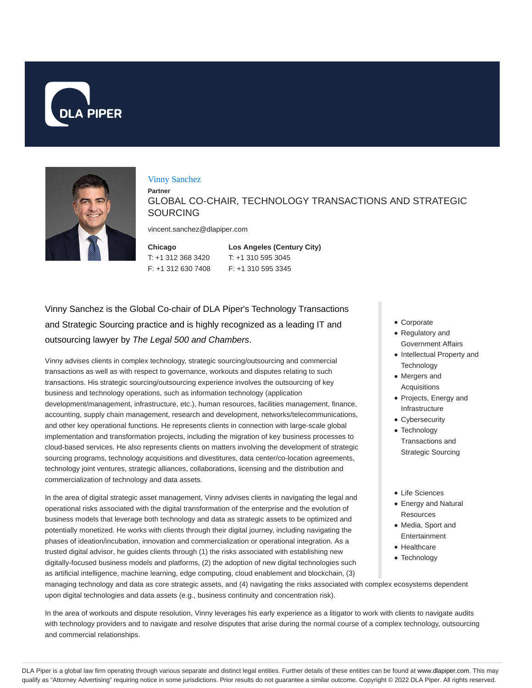



#### Vinny Sanchez

**Partner**

GLOBAL CO-CHAIR, TECHNOLOGY TRANSACTIONS AND STRATEGIC **SOURCING** 

vincent.sanchez@dlapiper.com

**Chicago** T: +1 312 368 3420 F: +1 312 630 7408

**Los Angeles (Century City)** T: +1 310 595 3045 F: +1 310 595 3345

Vinny Sanchez is the Global Co-chair of DLA Piper's Technology Transactions and Strategic Sourcing practice and is highly recognized as a leading IT and outsourcing lawyer by The Legal 500 and Chambers.

Vinny advises clients in complex technology, strategic sourcing/outsourcing and commercial transactions as well as with respect to governance, workouts and disputes relating to such transactions. His strategic sourcing/outsourcing experience involves the outsourcing of key business and technology operations, such as information technology (application development/management, infrastructure, etc.), human resources, facilities management, finance, accounting, supply chain management, research and development, networks/telecommunications, and other key operational functions. He represents clients in connection with large-scale global implementation and transformation projects, including the migration of key business processes to cloud-based services. He also represents clients on matters involving the development of strategic sourcing programs, technology acquisitions and divestitures, data center/co-location agreements, technology joint ventures, strategic alliances, collaborations, licensing and the distribution and commercialization of technology and data assets.

In the area of digital strategic asset management, Vinny advises clients in navigating the legal and operational risks associated with the digital transformation of the enterprise and the evolution of business models that leverage both technology and data as strategic assets to be optimized and potentially monetized. He works with clients through their digital journey, including navigating the phases of ideation/incubation, innovation and commercialization or operational integration. As a trusted digital advisor, he guides clients through (1) the risks associated with establishing new digitally-focused business models and platforms, (2) the adoption of new digital technologies such as artificial intelligence, machine learning, edge computing, cloud enablement and blockchain, (3)

- Corporate
- Regulatory and Government Affairs
- Intellectual Property and **Technology**
- Mergers and Acquisitions
- Projects, Energy and Infrastructure
- Cybersecurity
- Technology Transactions and Strategic Sourcing
- Life Sciences
- Energy and Natural Resources
- Media, Sport and Entertainment
- Healthcare
- Technology

managing technology and data as core strategic assets, and (4) navigating the risks associated with complex ecosystems dependent upon digital technologies and data assets (e.g., business continuity and concentration risk).

In the area of workouts and dispute resolution, Vinny leverages his early experience as a litigator to work with clients to navigate audits with technology providers and to navigate and resolve disputes that arise during the normal course of a complex technology, outsourcing and commercial relationships.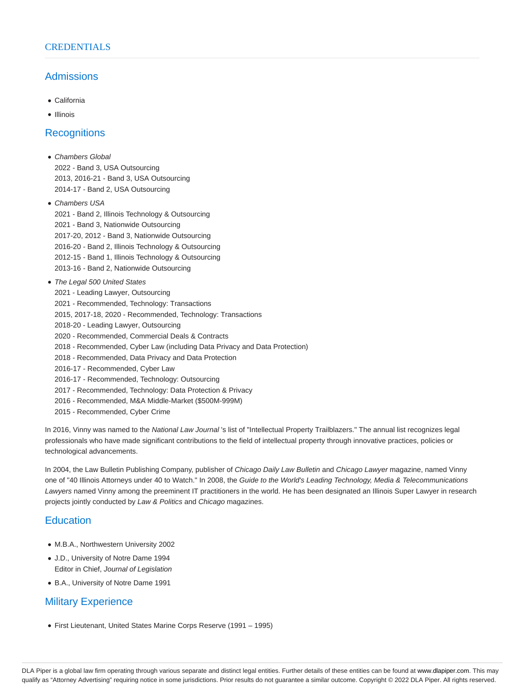# Admissions

- California
- Illinois

### **Recognitions**

- Chambers Global 2022 - Band 3, USA Outsourcing 2013, 2016-21 - Band 3, USA Outsourcing 2014-17 - Band 2, USA Outsourcing
- Chambers USA 2021 - Band 2, Illinois Technology & Outsourcing 2021 - Band 3, Nationwide Outsourcing 2017-20, 2012 - Band 3, Nationwide Outsourcing 2016-20 - Band 2, Illinois Technology & Outsourcing 2012-15 - Band 1, Illinois Technology & Outsourcing 2013-16 - Band 2, Nationwide Outsourcing
- The Legal 500 United States
	- 2021 Leading Lawyer, Outsourcing
	- 2021 Recommended, Technology: Transactions
	- 2015, 2017-18, 2020 Recommended, Technology: Transactions
	- 2018-20 Leading Lawyer, Outsourcing
	- 2020 Recommended, Commercial Deals & Contracts
	- 2018 Recommended, Cyber Law (including Data Privacy and Data Protection)
	- 2018 Recommended, Data Privacy and Data Protection
	- 2016-17 Recommended, Cyber Law
	- 2016-17 Recommended, Technology: Outsourcing
	- 2017 Recommended, Technology: Data Protection & Privacy
	- 2016 Recommended, M&A Middle-Market (\$500M-999M)
	- 2015 Recommended, Cyber Crime

In 2016, Vinny was named to the National Law Journal 's list of "Intellectual Property Trailblazers." The annual list recognizes legal professionals who have made significant contributions to the field of intellectual property through innovative practices, policies or technological advancements.

In 2004, the Law Bulletin Publishing Company, publisher of Chicago Daily Law Bulletin and Chicago Lawyer magazine, named Vinny one of "40 Illinois Attorneys under 40 to Watch." In 2008, the Guide to the World's Leading Technology, Media & Telecommunications Lawyers named Vinny among the preeminent IT practitioners in the world. He has been designated an Illinois Super Lawyer in research projects jointly conducted by Law & Politics and Chicago magazines.

## **Education**

- M.B.A., Northwestern University 2002
- J.D., University of Notre Dame 1994 Editor in Chief, Journal of Legislation
- B.A., University of Notre Dame 1991

# Military Experience

First Lieutenant, United States Marine Corps Reserve (1991 – 1995)